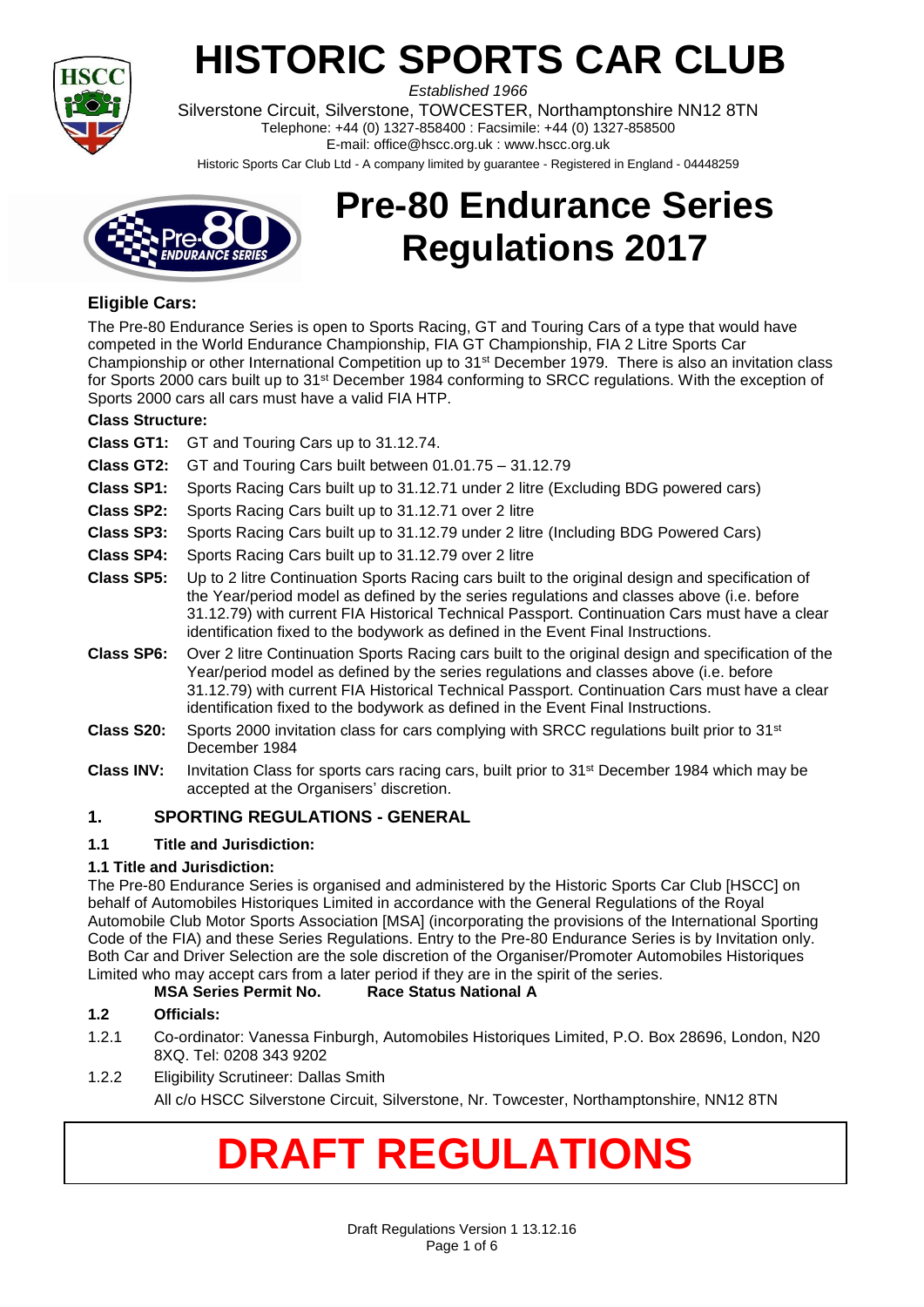

# **HISTORIC SPORTS CAR CLUB**

*Established 1966* Silverstone Circuit, Silverstone, TOWCESTER, Northamptonshire NN12 8TN Telephone: +44 (0) 1327-858400 : Facsimile: +44 (0) 1327-858500 E-mail: office@hscc.org.uk : www.hscc.org.uk

Historic Sports Car Club Ltd - A company limited by guarantee - Registered in England - 04448259



## **Pre-80 Endurance Series Regulations 2017**

## **Eligible Cars:**

The Pre-80 Endurance Series is open to Sports Racing, GT and Touring Cars of a type that would have competed in the World Endurance Championship, FIA GT Championship, FIA 2 Litre Sports Car Championship or other International Competition up to 31st December 1979. There is also an invitation class for Sports 2000 cars built up to 31st December 1984 conforming to SRCC regulations. With the exception of Sports 2000 cars all cars must have a valid FIA HTP.

## **Class Structure:**

- **Class GT1:** GT and Touring Cars up to 31.12.74.
- **Class GT2:** GT and Touring Cars built between 01.01.75 31.12.79
- **Class SP1:** Sports Racing Cars built up to 31.12.71 under 2 litre (Excluding BDG powered cars)
- **Class SP2:** Sports Racing Cars built up to 31.12.71 over 2 litre
- **Class SP3:** Sports Racing Cars built up to 31.12.79 under 2 litre (Including BDG Powered Cars)
- **Class SP4:** Sports Racing Cars built up to 31.12.79 over 2 litre
- **Class SP5:** Up to 2 litre Continuation Sports Racing cars built to the original design and specification of the Year/period model as defined by the series regulations and classes above (i.e. before 31.12.79) with current FIA Historical Technical Passport. Continuation Cars must have a clear identification fixed to the bodywork as defined in the Event Final Instructions.
- **Class SP6:** Over 2 litre Continuation Sports Racing cars built to the original design and specification of the Year/period model as defined by the series regulations and classes above (i.e. before 31.12.79) with current FIA Historical Technical Passport. Continuation Cars must have a clear identification fixed to the bodywork as defined in the Event Final Instructions.
- **Class S20:** Sports 2000 invitation class for cars complying with SRCC regulations built prior to 31st December 1984
- **Class INV:** Invitation Class for sports cars racing cars, built prior to 31st December 1984 which may be accepted at the Organisers' discretion.

## **1. SPORTING REGULATIONS - GENERAL**

## **1.1 Title and Jurisdiction:**

#### **1.1 Title and Jurisdiction:**

The Pre-80 Endurance Series is organised and administered by the Historic Sports Car Club [HSCC] on behalf of Automobiles Historiques Limited in accordance with the General Regulations of the Royal Automobile Club Motor Sports Association [MSA] (incorporating the provisions of the International Sporting Code of the FIA) and these Series Regulations. Entry to the Pre-80 Endurance Series is by Invitation only. Both Car and Driver Selection are the sole discretion of the Organiser/Promoter Automobiles Historiques Limited who may accept cars from a later period if they are in the spirit of the series.

## **MSA Series Permit No. Race Status National A**

## **1.2 Officials:**

- 1.2.1 Co-ordinator: Vanessa Finburgh, Automobiles Historiques Limited, P.O. Box 28696, London, N20 8XQ. Tel: 0208 343 9202
- 1.2.2 Eligibility Scrutineer: Dallas Smith

All c/o HSCC Silverstone Circuit, Silverstone, Nr. Towcester, Northamptonshire, NN12 8TN

## **DRAFT REGULATIONS**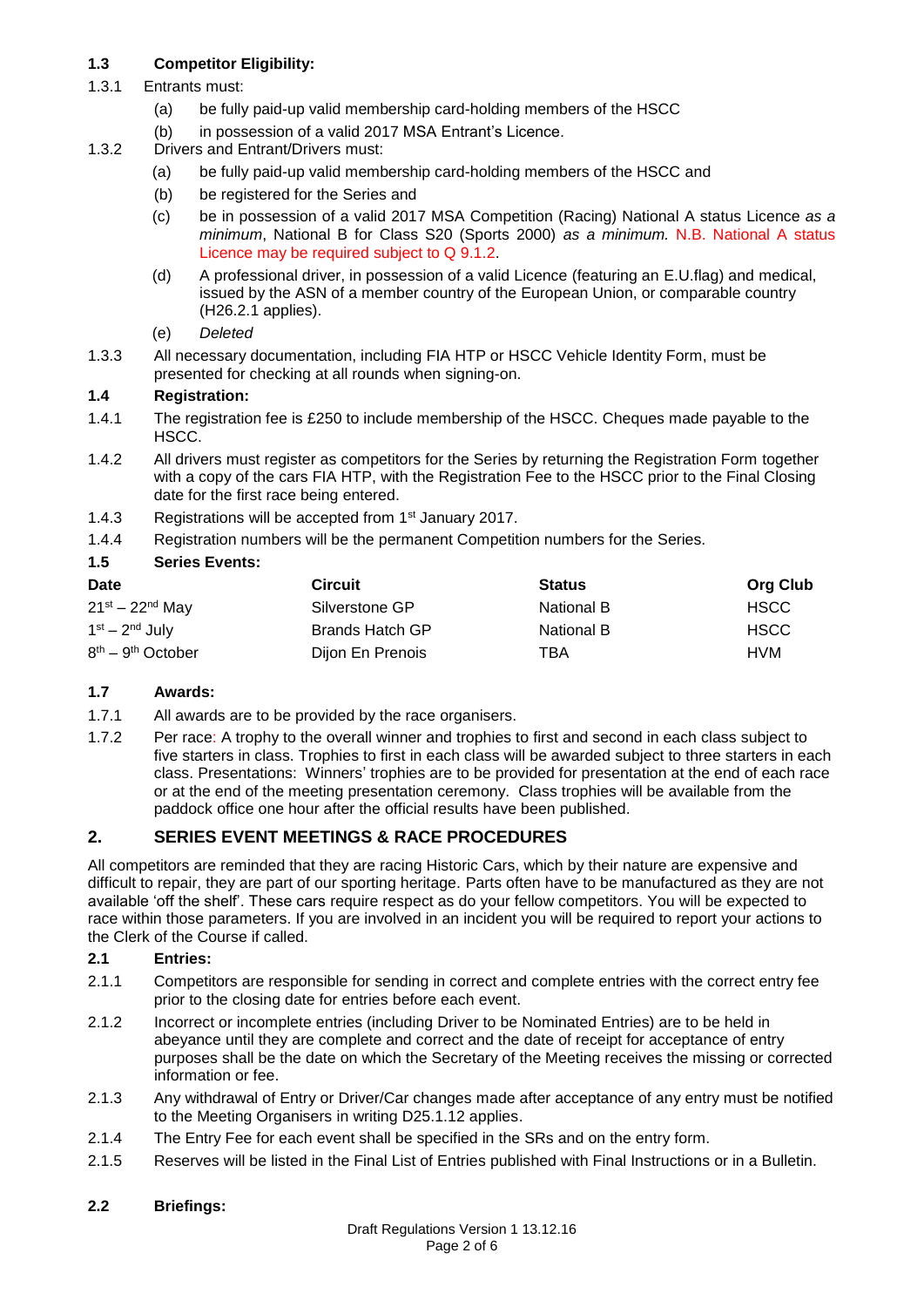## **1.3 Competitor Eligibility:**

- 1.3.1 Entrants must:
	- (a) be fully paid-up valid membership card-holding members of the HSCC
	- (b) in possession of a valid 2017 MSA Entrant's Licence.
- 1.3.2 Drivers and Entrant/Drivers must:
	- (a) be fully paid-up valid membership card-holding members of the HSCC and
	- (b) be registered for the Series and
	- (c) be in possession of a valid 2017 MSA Competition (Racing) National A status Licence *as a minimum*, National B for Class S20 (Sports 2000) *as a minimum.* N.B. National A status Licence may be required subject to Q 9.1.2.
	- (d) A professional driver, in possession of a valid Licence (featuring an E.U.flag) and medical, issued by the ASN of a member country of the European Union, or comparable country (H26.2.1 applies).
	- (e) *Deleted*
- 1.3.3 All necessary documentation, including FIA HTP or HSCC Vehicle Identity Form, must be presented for checking at all rounds when signing-on.

## **1.4 Registration:**

- 1.4.1 The registration fee is £250 to include membership of the HSCC. Cheques made payable to the HSCC.
- 1.4.2 All drivers must register as competitors for the Series by returning the Registration Form together with a copy of the cars FIA HTP, with the Registration Fee to the HSCC prior to the Final Closing date for the first race being entered.
- 1.4.3 Registrations will be accepted from 1<sup>st</sup> January 2017.
- 1.4.4 Registration numbers will be the permanent Competition numbers for the Series.

## **1.5 Series Events:**

| <b>Date</b>             | <b>Circuit</b>   | <b>Status</b> | <b>Org Club</b> |
|-------------------------|------------------|---------------|-----------------|
| $21^{st} - 22^{nd}$ May | Silverstone GP   | National B    | <b>HSCC</b>     |
| $1st - 2nd$ July        | Brands Hatch GP  | National B    | <b>HSCC</b>     |
| $8th - 9th October$     | Dijon En Prenois | TBA           | <b>HVM</b>      |

#### **1.7 Awards:**

- 1.7.1 All awards are to be provided by the race organisers.
- 1.7.2 Per race: A trophy to the overall winner and trophies to first and second in each class subject to five starters in class. Trophies to first in each class will be awarded subject to three starters in each class. Presentations: Winners' trophies are to be provided for presentation at the end of each race or at the end of the meeting presentation ceremony. Class trophies will be available from the paddock office one hour after the official results have been published.

## **2. SERIES EVENT MEETINGS & RACE PROCEDURES**

All competitors are reminded that they are racing Historic Cars, which by their nature are expensive and difficult to repair, they are part of our sporting heritage. Parts often have to be manufactured as they are not available 'off the shelf'. These cars require respect as do your fellow competitors. You will be expected to race within those parameters. If you are involved in an incident you will be required to report your actions to the Clerk of the Course if called.

#### **2.1 Entries:**

- 2.1.1 Competitors are responsible for sending in correct and complete entries with the correct entry fee prior to the closing date for entries before each event.
- 2.1.2 Incorrect or incomplete entries (including Driver to be Nominated Entries) are to be held in abeyance until they are complete and correct and the date of receipt for acceptance of entry purposes shall be the date on which the Secretary of the Meeting receives the missing or corrected information or fee.
- 2.1.3 Any withdrawal of Entry or Driver/Car changes made after acceptance of any entry must be notified to the Meeting Organisers in writing D25.1.12 applies.
- 2.1.4 The Entry Fee for each event shall be specified in the SRs and on the entry form.
- 2.1.5 Reserves will be listed in the Final List of Entries published with Final Instructions or in a Bulletin.

#### **2.2 Briefings:**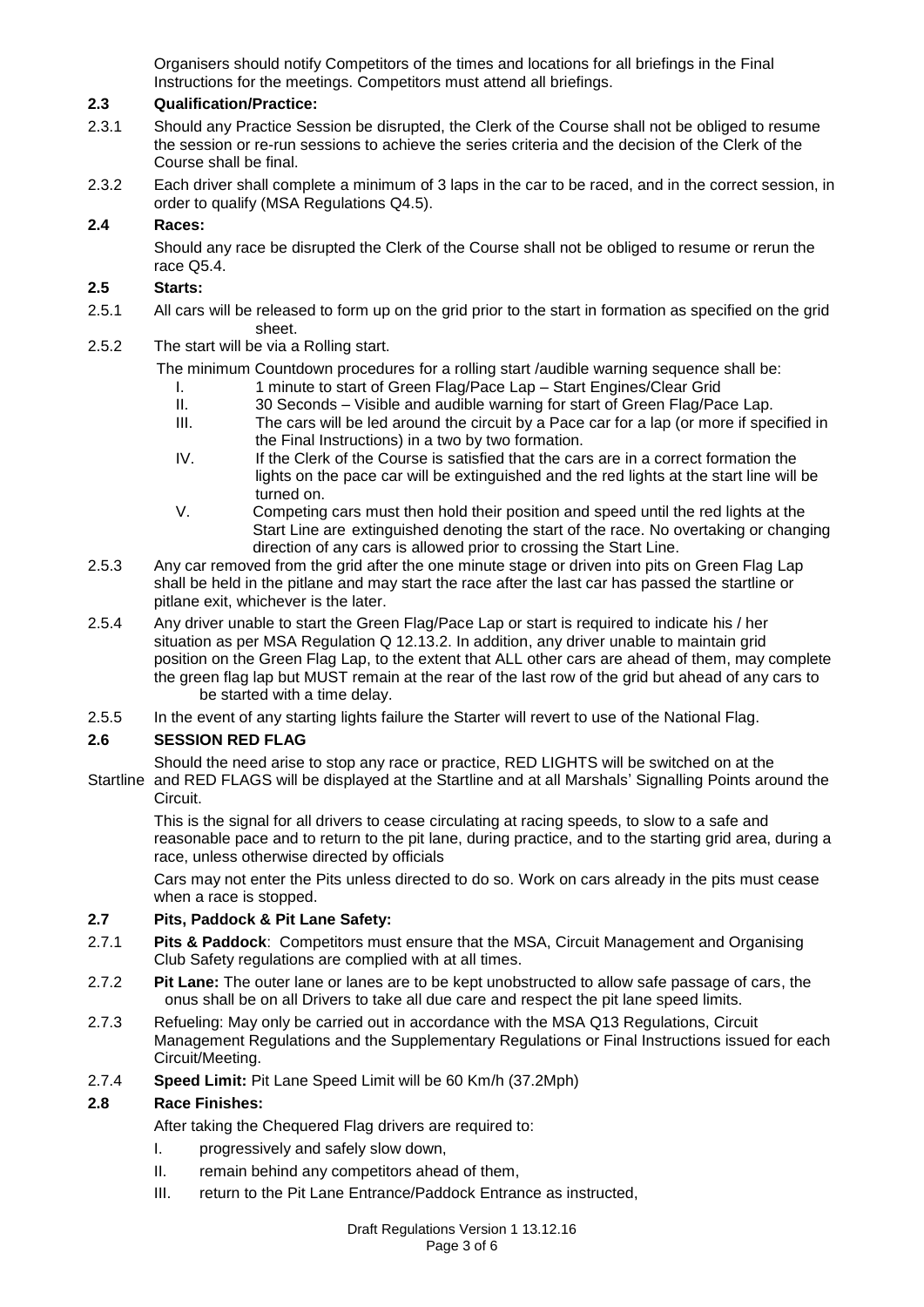Organisers should notify Competitors of the times and locations for all briefings in the Final Instructions for the meetings. Competitors must attend all briefings.

#### **2.3 Qualification/Practice:**

- 2.3.1 Should any Practice Session be disrupted, the Clerk of the Course shall not be obliged to resume the session or re-run sessions to achieve the series criteria and the decision of the Clerk of the Course shall be final.
- 2.3.2 Each driver shall complete a minimum of 3 laps in the car to be raced, and in the correct session, in order to qualify (MSA Regulations Q4.5).

#### **2.4 Races:**

Should any race be disrupted the Clerk of the Course shall not be obliged to resume or rerun the race Q5.4.

#### **2.5 Starts:**

- 2.5.1 All cars will be released to form up on the grid prior to the start in formation as specified on the grid sheet.
- 2.5.2 The start will be via a Rolling start.

The minimum Countdown procedures for a rolling start /audible warning sequence shall be:

- I. 1 minute to start of Green Flag/Pace Lap Start Engines/Clear Grid
- II. 30 Seconds Visible and audible warning for start of Green Flag/Pace Lap.
- III. The cars will be led around the circuit by a Pace car for a lap (or more if specified in the Final Instructions) in a two by two formation.
- IV. If the Clerk of the Course is satisfied that the cars are in a correct formation the lights on the pace car will be extinguished and the red lights at the start line will be turned on.
- V. Competing cars must then hold their position and speed until the red lights at the Start Line are extinguished denoting the start of the race. No overtaking or changing direction of any cars is allowed prior to crossing the Start Line.
- 2.5.3 Any car removed from the grid after the one minute stage or driven into pits on Green Flag Lap shall be held in the pitlane and may start the race after the last car has passed the startline or pitlane exit, whichever is the later.
- 2.5.4 Any driver unable to start the Green Flag/Pace Lap or start is required to indicate his / her situation as per MSA Regulation Q 12.13.2. In addition, any driver unable to maintain grid position on the Green Flag Lap, to the extent that ALL other cars are ahead of them, may complete the green flag lap but MUST remain at the rear of the last row of the grid but ahead of any cars to be started with a time delay.
- 2.5.5 In the event of any starting lights failure the Starter will revert to use of the National Flag.

#### **2.6 SESSION RED FLAG**

Should the need arise to stop any race or practice, RED LIGHTS will be switched on at the

Startline and RED FLAGS will be displayed at the Startline and at all Marshals' Signalling Points around the Circuit.

This is the signal for all drivers to cease circulating at racing speeds, to slow to a safe and reasonable pace and to return to the pit lane, during practice, and to the starting grid area, during a race, unless otherwise directed by officials

Cars may not enter the Pits unless directed to do so. Work on cars already in the pits must cease when a race is stopped.

#### **2.7 Pits, Paddock & Pit Lane Safety:**

- 2.7.1 **Pits & Paddock**: Competitors must ensure that the MSA, Circuit Management and Organising Club Safety regulations are complied with at all times.
- 2.7.2 **Pit Lane:** The outer lane or lanes are to be kept unobstructed to allow safe passage of cars, the onus shall be on all Drivers to take all due care and respect the pit lane speed limits.
- 2.7.3 Refueling: May only be carried out in accordance with the MSA Q13 Regulations, Circuit Management Regulations and the Supplementary Regulations or Final Instructions issued for each Circuit/Meeting.
- 2.7.4 **Speed Limit:** Pit Lane Speed Limit will be 60 Km/h (37.2Mph)

#### **2.8 Race Finishes:**

After taking the Chequered Flag drivers are required to:

- I. progressively and safely slow down,
- II. remain behind any competitors ahead of them,
- III. return to the Pit Lane Entrance/Paddock Entrance as instructed,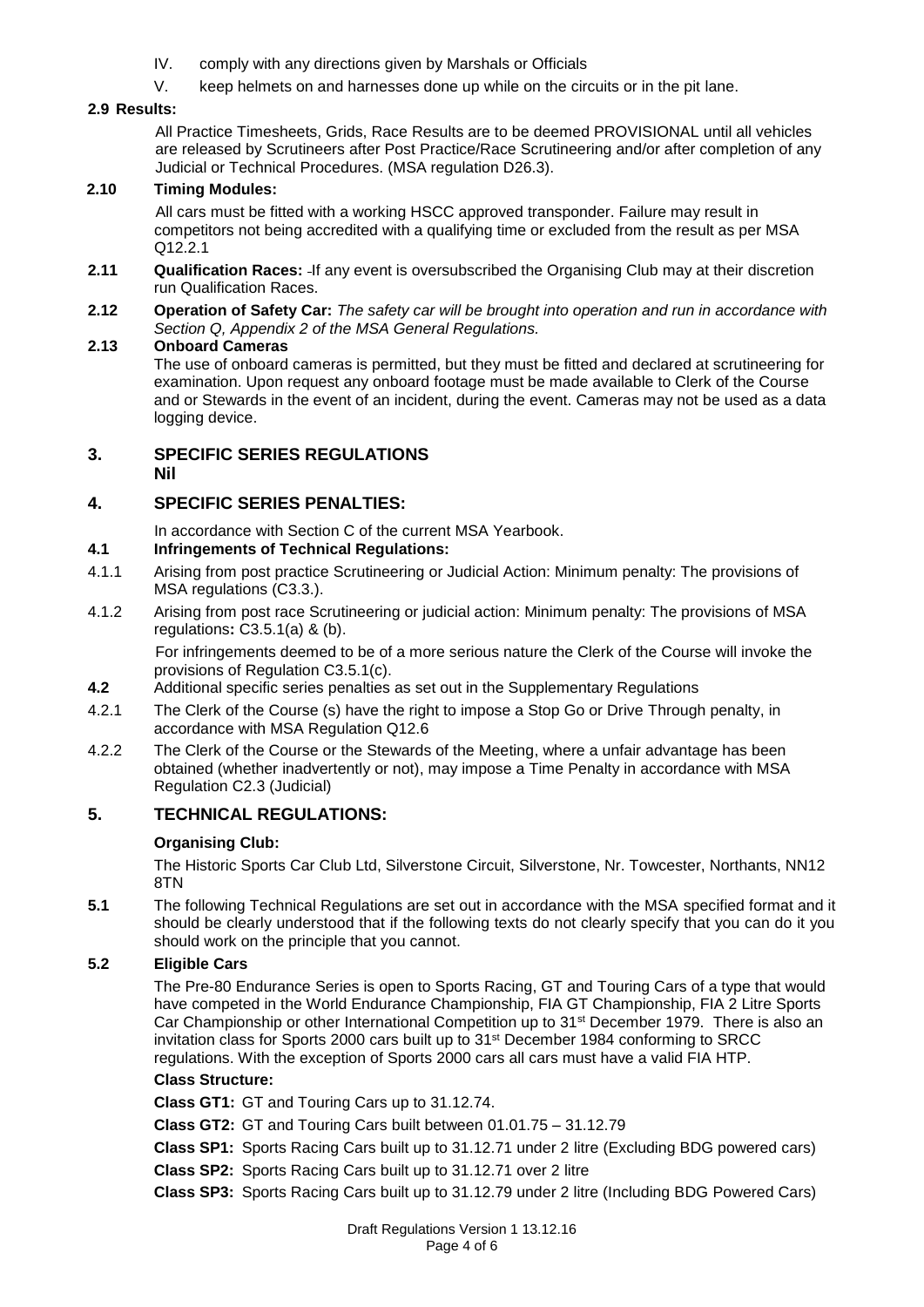- IV. comply with any directions given by Marshals or Officials
- V. keep helmets on and harnesses done up while on the circuits or in the pit lane.

#### **2.9 Results:**

All Practice Timesheets, Grids, Race Results are to be deemed PROVISIONAL until all vehicles are released by Scrutineers after Post Practice/Race Scrutineering and/or after completion of any Judicial or Technical Procedures. (MSA regulation D26.3).

#### **2.10 Timing Modules:**

All cars must be fitted with a working HSCC approved transponder. Failure may result in competitors not being accredited with a qualifying time or excluded from the result as per MSA Q12.2.1

- **2.11 Qualification Races:** If any event is oversubscribed the Organising Club may at their discretion run Qualification Races.
- **2.12 Operation of Safety Car:** *The safety car will be brought into operation and run in accordance with Section Q, Appendix 2 of the MSA General Regulations.*

#### **2.13 Onboard Cameras**

The use of onboard cameras is permitted, but they must be fitted and declared at scrutineering for examination. Upon request any onboard footage must be made available to Clerk of the Course and or Stewards in the event of an incident, during the event. Cameras may not be used as a data logging device.

#### **3. SPECIFIC SERIES REGULATIONS Nil**

## **4. SPECIFIC SERIES PENALTIES:**

In accordance with Section C of the current MSA Yearbook.

## **4.1 Infringements of Technical Regulations:**

- 4.1.1 Arising from post practice Scrutineering or Judicial Action: Minimum penalty: The provisions of MSA regulations (C3.3.).
- 4.1.2 Arising from post race Scrutineering or judicial action: Minimum penalty: The provisions of MSA regulations**:** C3.5.1(a) & (b).

For infringements deemed to be of a more serious nature the Clerk of the Course will invoke the provisions of Regulation C3.5.1(c).

- **4.2** Additional specific series penalties as set out in the Supplementary Regulations
- 4.2.1 The Clerk of the Course (s) have the right to impose a Stop Go or Drive Through penalty, in accordance with MSA Regulation Q12.6
- 4.2.2 The Clerk of the Course or the Stewards of the Meeting, where a unfair advantage has been obtained (whether inadvertently or not), may impose a Time Penalty in accordance with MSA Regulation C2.3 (Judicial)

## **5. TECHNICAL REGULATIONS:**

## **Organising Club:**

The Historic Sports Car Club Ltd, Silverstone Circuit, Silverstone, Nr. Towcester, Northants, NN12 8TN

**5.1** The following Technical Regulations are set out in accordance with the MSA specified format and it should be clearly understood that if the following texts do not clearly specify that you can do it you should work on the principle that you cannot.

#### **5.2 Eligible Cars**

The Pre-80 Endurance Series is open to Sports Racing, GT and Touring Cars of a type that would have competed in the World Endurance Championship, FIA GT Championship, FIA 2 Litre Sports Car Championship or other International Competition up to 31st December 1979. There is also an invitation class for Sports 2000 cars built up to 31st December 1984 conforming to SRCC regulations. With the exception of Sports 2000 cars all cars must have a valid FIA HTP.

#### **Class Structure:**

**Class GT1:** GT and Touring Cars up to 31.12.74.

**Class GT2:** GT and Touring Cars built between 01.01.75 – 31.12.79

**Class SP1:** Sports Racing Cars built up to 31.12.71 under 2 litre (Excluding BDG powered cars)

**Class SP2:** Sports Racing Cars built up to 31.12.71 over 2 litre

**Class SP3:** Sports Racing Cars built up to 31.12.79 under 2 litre (Including BDG Powered Cars)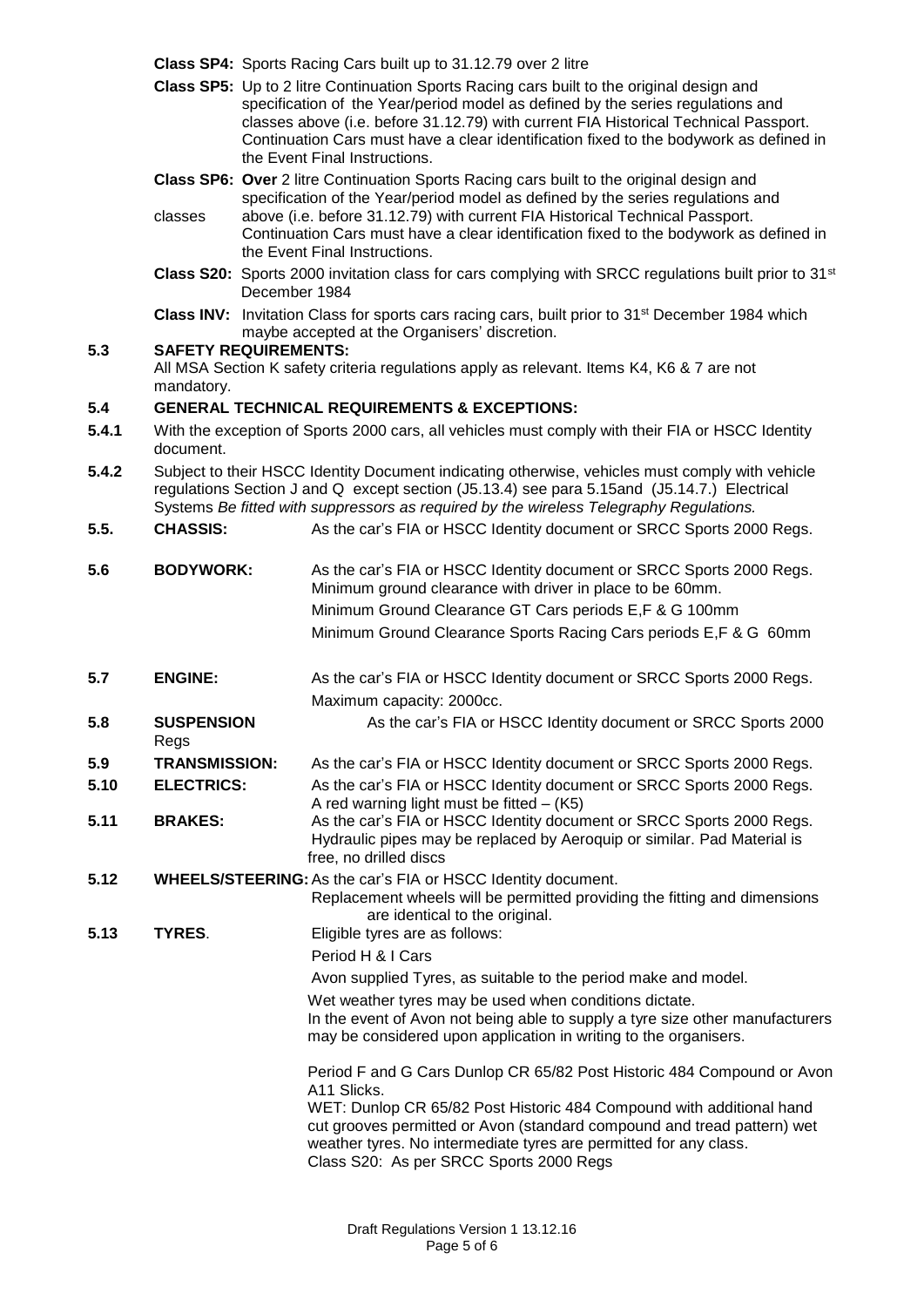| Class SP4: Sports Racing Cars built up to 31.12.79 over 2 litre |  |  |  |  |  |
|-----------------------------------------------------------------|--|--|--|--|--|
|-----------------------------------------------------------------|--|--|--|--|--|

- **Class SP5:** Up to 2 litre Continuation Sports Racing cars built to the original design and specification of the Year/period model as defined by the series regulations and classes above (i.e. before 31.12.79) with current FIA Historical Technical Passport. Continuation Cars must have a clear identification fixed to the bodywork as defined in the Event Final Instructions.
- **Class SP6: Over** 2 litre Continuation Sports Racing cars built to the original design and specification of the Year/period model as defined by the series regulations and
- classes above (i.e. before 31.12.79) with current FIA Historical Technical Passport. Continuation Cars must have a clear identification fixed to the bodywork as defined in the Event Final Instructions.
- **Class S20:** Sports 2000 invitation class for cars complying with SRCC regulations built prior to 31st December 1984
- Class INV: Invitation Class for sports cars racing cars, built prior to 31<sup>st</sup> December 1984 which maybe accepted at the Organisers' discretion.

## **5.3 SAFETY REQUIREMENTS:**

All MSA Section K safety criteria regulations apply as relevant. Items K4, K6 & 7 are not mandatory.

## **5.4 GENERAL TECHNICAL REQUIREMENTS & EXCEPTIONS:**

- **5.4.1** With the exception of Sports 2000 cars, all vehicles must comply with their FIA or HSCC Identity document.
- **5.4.2** Subject to their HSCC Identity Document indicating otherwise, vehicles must comply with vehicle regulations Section J and Q except section (J5.13.4) see para 5.15and (J5.14.7.) Electrical Systems *Be fitted with suppressors as required by the wireless Telegraphy Regulations.*
- **5.5. CHASSIS:** As the car's FIA or HSCC Identity document or SRCC Sports 2000 Regs.
- **5.6 BODYWORK:** As the car's FIA or HSCC Identity document or SRCC Sports 2000 Regs. Minimum ground clearance with driver in place to be 60mm. Minimum Ground Clearance GT Cars periods E,F & G 100mm Minimum Ground Clearance Sports Racing Cars periods E,F & G 60mm
- **5.7 ENGINE:** As the car's FIA or HSCC Identity document or SRCC Sports 2000 Regs. Maximum capacity: 2000cc.
- **5.8 SUSPENSION** As the car's FIA or HSCC Identity document or SRCC Sports 2000 Regs
- **5.9 TRANSMISSION:** As the car's FIA or HSCC Identity document or SRCC Sports 2000 Regs.
- **5.10 ELECTRICS:** As the car's FIA or HSCC Identity document or SRCC Sports 2000 Regs. A red warning light must be fitted  $-$  (K5)
- **5.11 BRAKES:** As the car's FIA or HSCC Identity document or SRCC Sports 2000 Regs. Hydraulic pipes may be replaced by Aeroquip or similar. Pad Material is free, no drilled discs
- **5.12 WHEELS/STEERING:**As the car's FIA or HSCC Identity document.

Replacement wheels will be permitted providing the fitting and dimensions are identical to the original.

**5.13 TYRES**. Eligible tyres are as follows:

Period H & I Cars

Avon supplied Tyres, as suitable to the period make and model.

Wet weather tyres may be used when conditions dictate. In the event of Avon not being able to supply a tyre size other manufacturers may be considered upon application in writing to the organisers.

Period F and G Cars Dunlop CR 65/82 Post Historic 484 Compound or Avon A11 Slicks.

WET: Dunlop CR 65/82 Post Historic 484 Compound with additional hand cut grooves permitted or Avon (standard compound and tread pattern) wet weather tyres. No intermediate tyres are permitted for any class. Class S20: As per SRCC Sports 2000 Regs